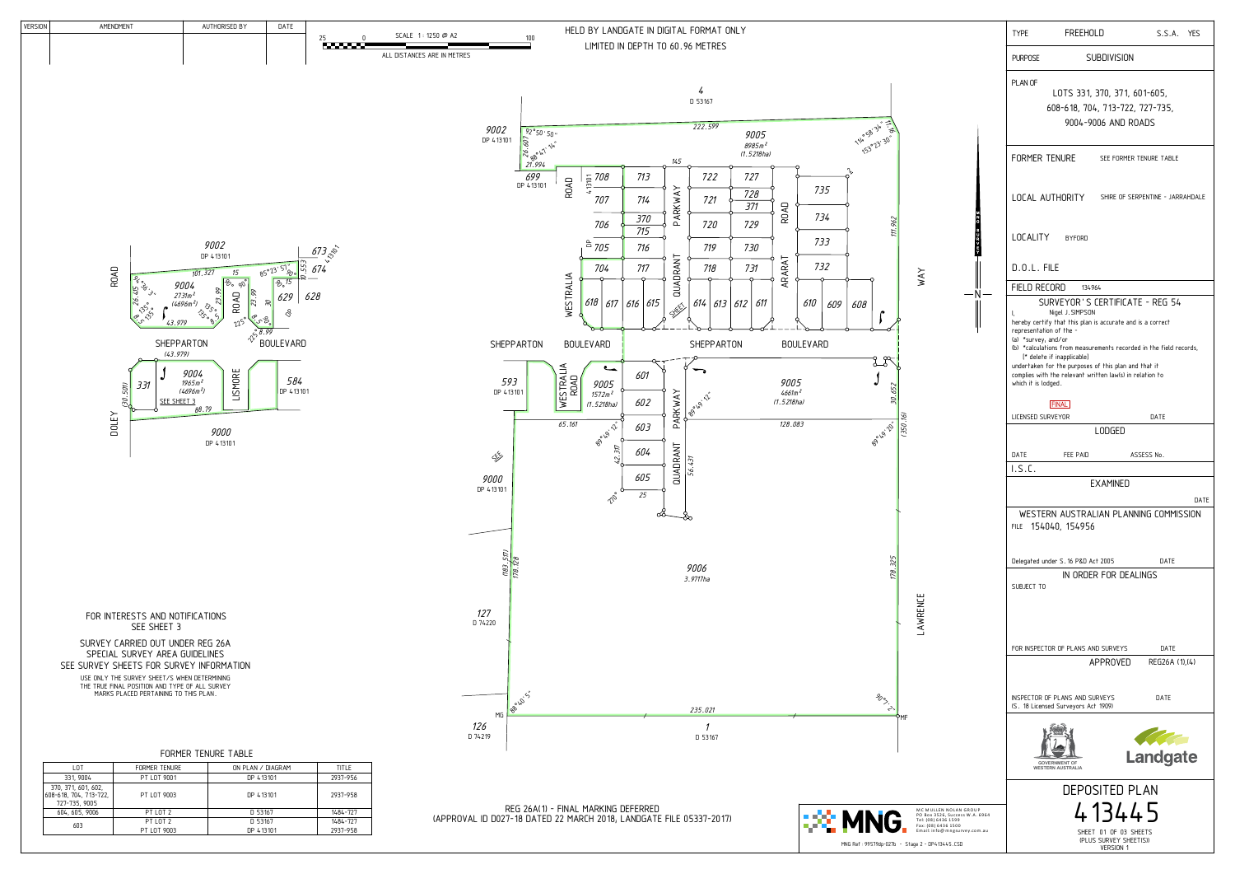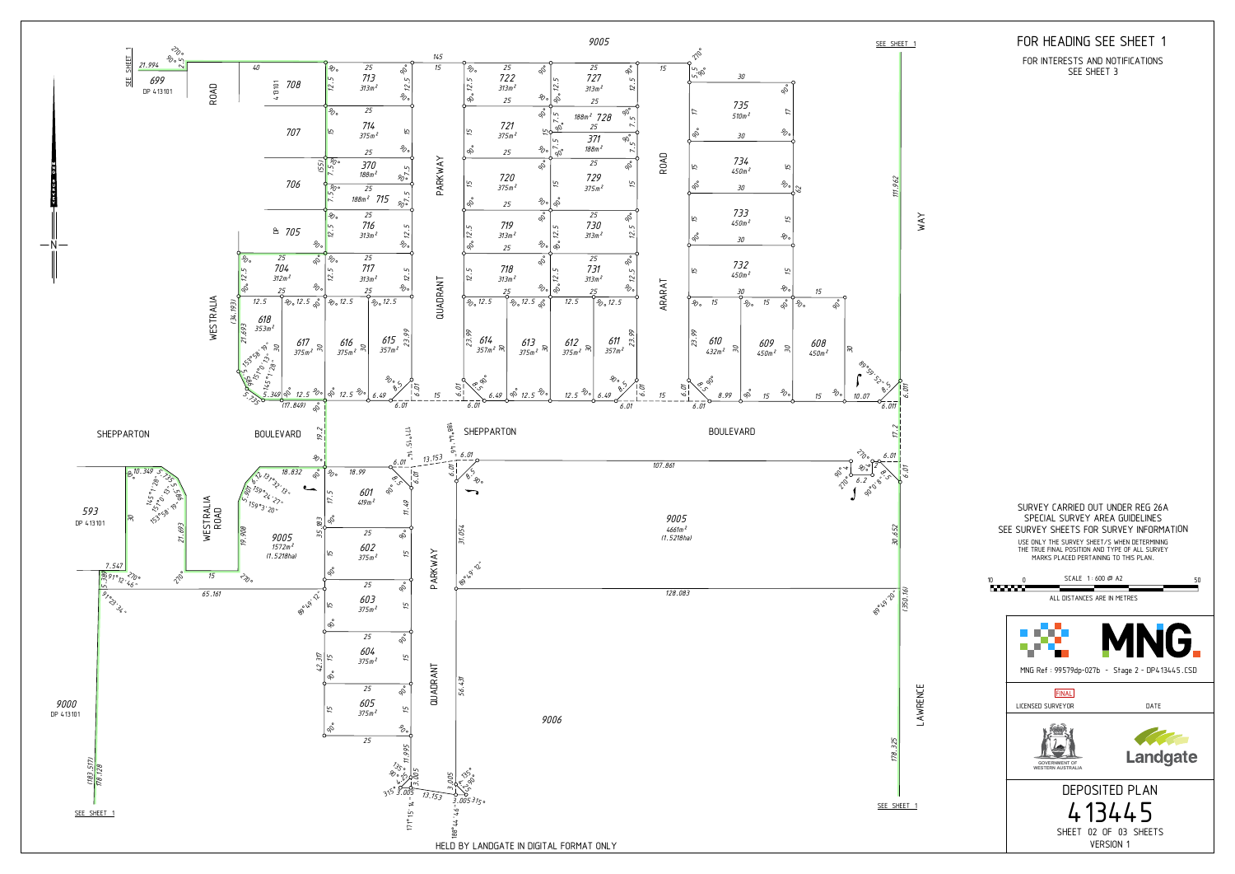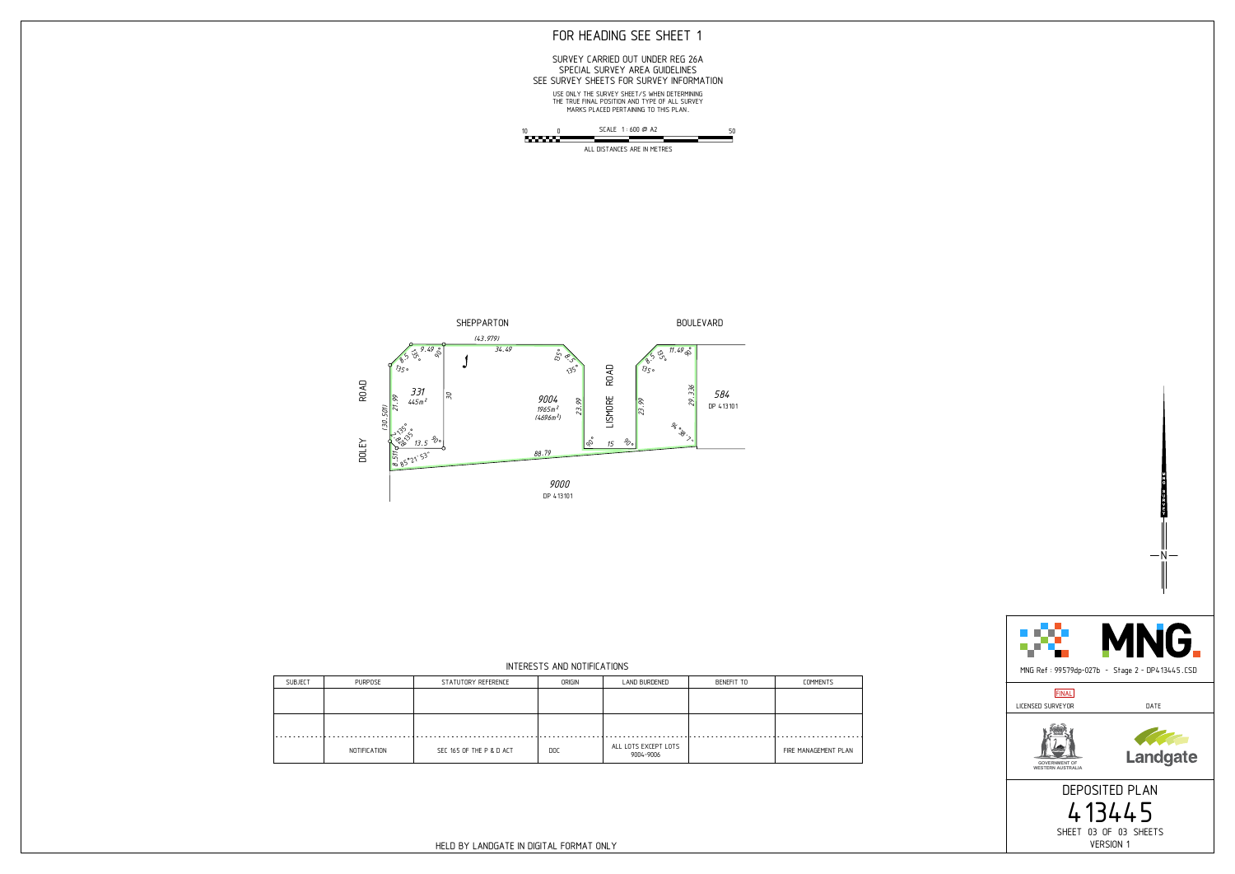



## FOR HEADING SEE SHEET 1



YVRUGNM

ALL DISTANCES ARE IN METRES



### SEE SURVEY SHEETS FOR SURVEY INFORMATION SPECIAL SURVEY AREA GUIDELINES SURVEY CARRIED OUT UNDER REG 26A

MARKS PLACED PERTAINING TO THIS PLAN. THE TRUE FINAL POSITION AND TYPE OF ALL SURVEY USE ONLY THE SURVEY SHEET/S WHEN DETERMINING

#### INTERESTS AND NOTIFICATIONS

| <b>SUBJECT</b> | PURPOSE      | STATUTORY REFERENCE      | ORIGIN     | LAND BURDENED                     | BENEFIT TO | COMMENTS             |
|----------------|--------------|--------------------------|------------|-----------------------------------|------------|----------------------|
|                |              |                          |            |                                   |            |                      |
|                |              |                          |            |                                   |            |                      |
|                |              |                          |            |                                   |            |                      |
| . <b>.</b>     |              |                          |            |                                   |            |                      |
|                | NOTIFICATION | SEC 165 OF THE P & D ACT | <b>DOC</b> | ALL LOTS EXCEPT LOTS<br>9004-9006 |            | FIRE MANAGEMENT PLAN |